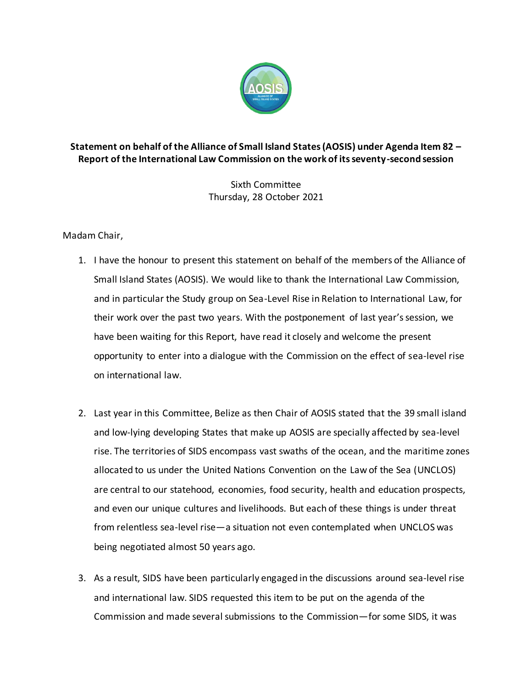

## **Statement on behalf of the Alliance of Small Island States (AOSIS) under Agenda Item 82 – Report of the International Law Commission on the work of its seventy-second session**

Sixth Committee Thursday, 28 October 2021

Madam Chair,

- 1. I have the honour to present this statement on behalf of the members of the Alliance of Small Island States (AOSIS). We would like to thank the International Law Commission, and in particular the Study group on Sea-Level Rise in Relation to International Law, for their work over the past two years. With the postponement of last year's session, we have been waiting for this Report, have read it closely and welcome the present opportunity to enter into a dialogue with the Commission on the effect of sea-level rise on international law.
- 2. Last year in this Committee, Belize as then Chair of AOSIS stated that the 39 small island and low-lying developing States that make up AOSIS are specially affected by sea-level rise. The territories of SIDS encompass vast swaths of the ocean, and the maritime zones allocated to us under the United Nations Convention on the Law of the Sea (UNCLOS) are central to our statehood, economies, food security, health and education prospects, and even our unique cultures and livelihoods. But each of these things is under threat from relentless sea-level rise—a situation not even contemplated when UNCLOS was being negotiated almost 50 years ago.
- 3. As a result, SIDS have been particularly engaged in the discussions around sea-level rise and international law. SIDS requested this item to be put on the agenda of the Commission and made several submissions to the Commission—for some SIDS, it was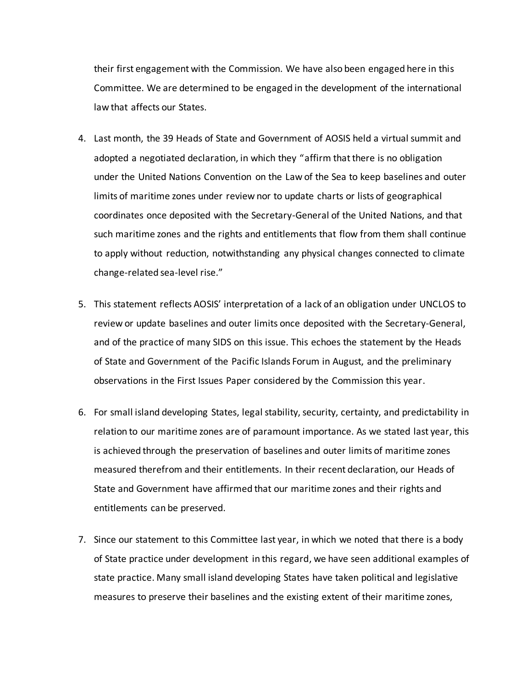their first engagement with the Commission. We have also been engaged here in this Committee. We are determined to be engaged in the development of the international law that affects our States.

- 4. Last month, the 39 Heads of State and Government of AOSIS held a virtual summit and adopted a negotiated declaration, in which they "affirm that there is no obligation under the United Nations Convention on the Law of the Sea to keep baselines and outer limits of maritime zones under review nor to update charts or lists of geographical coordinates once deposited with the Secretary-General of the United Nations, and that such maritime zones and the rights and entitlements that flow from them shall continue to apply without reduction, notwithstanding any physical changes connected to climate change-related sea-level rise."
- 5. This statement reflects AOSIS' interpretation of a lack of an obligation under UNCLOS to review or update baselines and outer limits once deposited with the Secretary-General, and of the practice of many SIDS on this issue. This echoes the statement by the Heads of State and Government of the Pacific Islands Forum in August, and the preliminary observations in the First Issues Paper considered by the Commission this year.
- 6. For small island developing States, legal stability, security, certainty, and predictability in relation to our maritime zones are of paramount importance. As we stated last year, this is achieved through the preservation of baselines and outer limits of maritime zones measured therefrom and their entitlements. In their recent declaration, our Heads of State and Government have affirmed that our maritime zones and their rights and entitlements can be preserved.
- 7. Since our statement to this Committee last year, in which we noted that there is a body of State practice under development in this regard, we have seen additional examples of state practice. Many small island developing States have taken political and legislative measures to preserve their baselines and the existing extent of their maritime zones,